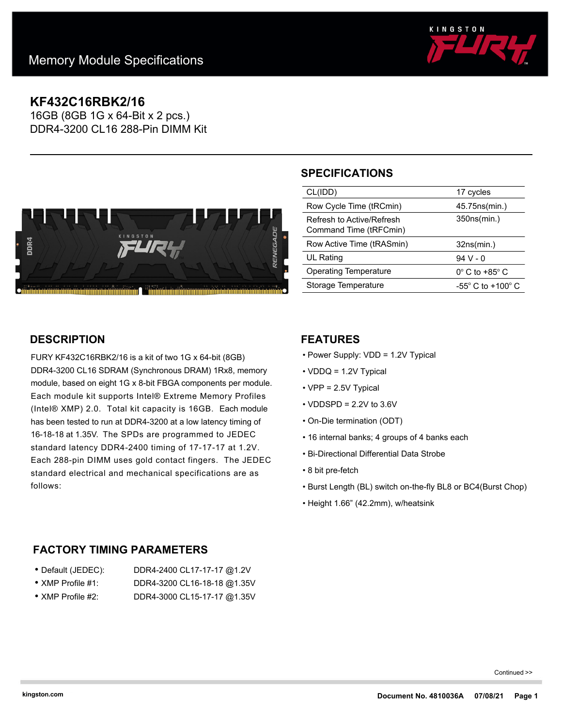

# **KF432C16RBK2/16**

16GB (8GB 1G x 64-Bit x 2 pcs.) DDR4-3200 CL16 288-Pin DIMM Kit



# **SPECIFICATIONS**

| CL(IDD)                      | 17 cycles                           |
|------------------------------|-------------------------------------|
|                              |                                     |
| Row Cycle Time (tRCmin)      | 45.75ns(min.)                       |
| Refresh to Active/Refresh    | 350ns(min.)                         |
|                              |                                     |
| Command Time (tRFCmin)       |                                     |
|                              |                                     |
|                              |                                     |
|                              |                                     |
| Row Active Time (tRASmin)    | 32ns(min.)                          |
|                              |                                     |
| <b>UL Rating</b>             | $94V - 0$                           |
|                              |                                     |
| <b>Operating Temperature</b> | $0^\circ$ C to +85 $^\circ$ C       |
| Storage Temperature          | $-55^{\circ}$ C to $+100^{\circ}$ C |

## **DESCRIPTION**

FURY KF432C16RBK2/16 is a kit of two 1G x 64-bit (8GB) DDR4-3200 CL16 SDRAM (Synchronous DRAM) 1Rx8, memory module, based on eight 1G x 8-bit FBGA components per module. Each module kit supports Intel® Extreme Memory Profiles (Intel® XMP) 2.0. Total kit capacity is 16GB. Each module has been tested to run at DDR4-3200 at a low latency timing of 16-18-18 at 1.35V. The SPDs are programmed to JEDEC standard latency DDR4-2400 timing of 17-17-17 at 1.2V. Each 288-pin DIMM uses gold contact fingers. The JEDEC standard electrical and mechanical specifications are as follows:

### **FEATURES**

- Power Supply: VDD = 1.2V Typical
- VDDQ = 1.2V Typical
- VPP = 2.5V Typical
- $\cdot$  VDDSPD = 2.2V to 3.6V
- On-Die termination (ODT)
- 16 internal banks; 4 groups of 4 banks each
- Bi-Directional Differential Data Strobe
- 8 bit pre-fetch
- Burst Length (BL) switch on-the-fly BL8 or BC4(Burst Chop)
- Height 1.66" (42.2mm), w/heatsink

### **FACTORY TIMING PARAMETERS**

| ● Default (JEDEC):        | DDR4-2400 CL17-17-17 @1.2V  |
|---------------------------|-----------------------------|
| $\bullet$ XMP Profile #1: | DDR4-3200 CL16-18-18 @1.35V |

• XMP Profile #2: DDR4-3000 CL15-17-17 @1.35V

Continued >>